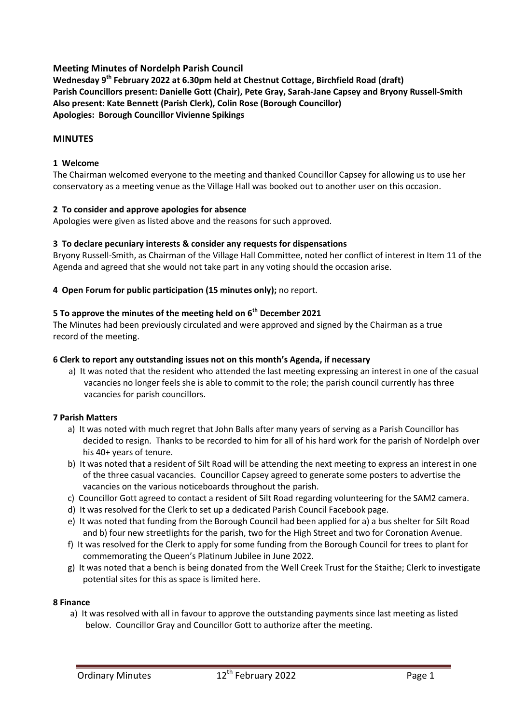# **Meeting Minutes of Nordelph Parish Council**

**Wednesday 9th February 2022 at 6.30pm held at Chestnut Cottage, Birchfield Road (draft) Parish Councillors present: Danielle Gott (Chair), Pete Gray, Sarah-Jane Capsey and Bryony Russell-Smith Also present: Kate Bennett (Parish Clerk), Colin Rose (Borough Councillor) Apologies: Borough Councillor Vivienne Spikings**

# **MINUTES**

## **1 Welcome**

The Chairman welcomed everyone to the meeting and thanked Councillor Capsey for allowing us to use her conservatory as a meeting venue as the Village Hall was booked out to another user on this occasion.

# **2 To consider and approve apologies for absence**

Apologies were given as listed above and the reasons for such approved.

### **3 To declare pecuniary interests & consider any requests for dispensations**

Bryony Russell-Smith, as Chairman of the Village Hall Committee, noted her conflict of interest in Item 11 of the Agenda and agreed that she would not take part in any voting should the occasion arise.

### **4 Open Forum for public participation (15 minutes only);** no report.

# **5 To approve the minutes of the meeting held on 6th December 2021**

The Minutes had been previously circulated and were approved and signed by the Chairman as a true record of the meeting.

## **6 Clerk to report any outstanding issues not on this month's Agenda, if necessary**

a) It was noted that the resident who attended the last meeting expressing an interest in one of the casual vacancies no longer feels she is able to commit to the role; the parish council currently has three vacancies for parish councillors.

### **7 Parish Matters**

- a) It was noted with much regret that John Balls after many years of serving as a Parish Councillor has decided to resign. Thanks to be recorded to him for all of his hard work for the parish of Nordelph over his 40+ years of tenure.
- b) It was noted that a resident of Silt Road will be attending the next meeting to express an interest in one of the three casual vacancies. Councillor Capsey agreed to generate some posters to advertise the vacancies on the various noticeboards throughout the parish.
- c) Councillor Gott agreed to contact a resident of Silt Road regarding volunteering for the SAM2 camera.
- d) It was resolved for the Clerk to set up a dedicated Parish Council Facebook page.
- e) It was noted that funding from the Borough Council had been applied for a) a bus shelter for Silt Road and b) four new streetlights for the parish, two for the High Street and two for Coronation Avenue.
- f) It was resolved for the Clerk to apply for some funding from the Borough Council for trees to plant for commemorating the Queen's Platinum Jubilee in June 2022.
- g) It was noted that a bench is being donated from the Well Creek Trust for the Staithe; Clerk to investigate potential sites for this as space is limited here.

### **8 Finance**

a) It was resolved with all in favour to approve the outstanding payments since last meeting as listed below. Councillor Gray and Councillor Gott to authorize after the meeting.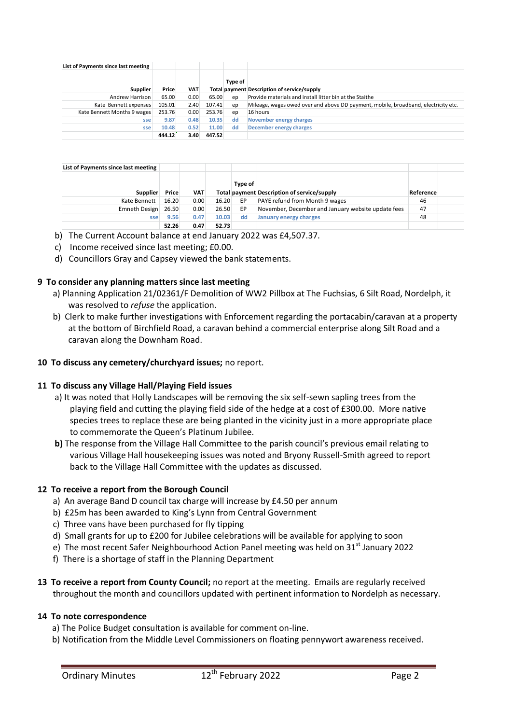| List of Payments since last meeting |        |            |        |         |                                                                                    |
|-------------------------------------|--------|------------|--------|---------|------------------------------------------------------------------------------------|
| <b>Supplier</b>                     | Price  | <b>VAT</b> |        | Type of | Total payment Description of service/supply                                        |
| Andrew Harrison                     | 65.00  | 0.00       | 65.00  | ep      | Provide materials and install litter bin at the Staithe                            |
| Kate Bennett expenses               | 105.01 | 2.40       | 107.41 | ep      | Mileage, wages owed over and above DD payment, mobile, broadband, electricity etc. |
| Kate Bennett Months 9 wages         | 253.76 | 0.00       | 253.76 | ep      | 16 hours                                                                           |
| sse                                 | 9.87   | 0.48       | 10.35  | dd      | November energy charges                                                            |
| sse                                 | 10.48  | 0.52       | 11.00  | dd      | December energy charges                                                            |
|                                     | 444.12 | 3.40       | 447.52 |         |                                                                                    |

| List of Payments since last meeting |       |            |       |         |                                                    |           |  |
|-------------------------------------|-------|------------|-------|---------|----------------------------------------------------|-----------|--|
| <b>Supplier</b>                     | Price | <b>VAT</b> |       | Type of | Total payment Description of service/supply        | Reference |  |
| Kate Bennett                        | 16.20 | 0.00       | 16.20 | EP      | PAYE refund from Month 9 wages                     | 46        |  |
| Emneth Design                       | 26.50 | 0.00       | 26.50 | EP      | November, December and January website update fees | 47        |  |
| sse                                 | 9.56  | 0.47       | 10.03 | dd      | January energy charges                             | 48        |  |
|                                     | 52.26 | 0.47       | 52.73 |         |                                                    |           |  |

- b) The Current Account balance at end January 2022 was £4,507.37.
- c) Income received since last meeting; £0.00.
- d) Councillors Gray and Capsey viewed the bank statements.

### **9 To consider any planning matters since last meeting**

- a) Planning Application 21/02361/F Demolition of WW2 Pillbox at The Fuchsias, 6 Silt Road, Nordelph, it was resolved to *refuse* the application.
- b) Clerk to make further investigations with Enforcement regarding the portacabin/caravan at a property at the bottom of Birchfield Road, a caravan behind a commercial enterprise along Silt Road and a caravan along the Downham Road.

### **10 To discuss any cemetery/churchyard issues;** no report.

### **11 To discuss any Village Hall/Playing Field issues**

- a) It was noted that Holly Landscapes will be removing the six self-sewn sapling trees from the playing field and cutting the playing field side of the hedge at a cost of £300.00. More native species trees to replace these are being planted in the vicinity just in a more appropriate place to commemorate the Queen's Platinum Jubilee.
- **b)** The response from the Village Hall Committee to the parish council's previous email relating to various Village Hall housekeeping issues was noted and Bryony Russell-Smith agreed to report back to the Village Hall Committee with the updates as discussed.

### **12 To receive a report from the Borough Council**

- a) An average Band D council tax charge will increase by £4.50 per annum
- b) £25m has been awarded to King's Lynn from Central Government
- c) Three vans have been purchased for fly tipping
- d) Small grants for up to £200 for Jubilee celebrations will be available for applying to soon
- e) The most recent Safer Neighbourhood Action Panel meeting was held on  $31<sup>st</sup>$  January 2022
- f) There is a shortage of staff in the Planning Department
- **13 To receive a report from County Council;** no report at the meeting. Emails are regularly received throughout the month and councillors updated with pertinent information to Nordelph as necessary.

#### **14 To note correspondence**

- a) The Police Budget consultation is available for comment on-line.
- b) Notification from the Middle Level Commissioners on floating pennywort awareness received.